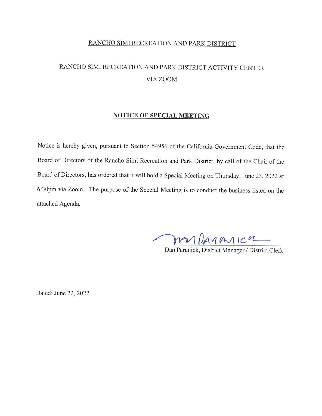# RANCHO SIMI RECREATION AND PARK DISTRICT ACTIVITY CENTER VIA ZOOM

#### **NOTICE OF SPECIAL MEETING**

Notice is hereby given, pursuant to Section 54956 of the California Government Code, that the Board of Directors of the Rancho Simi Recreation and Park District, by call of the Chair of the Board of Directors, has ordered that it will hold a Special Meeting on Thursday, June 23, 2022 at 6:30pm via Zoom. The purpose of the Special Meeting is to conduct the business listed on the attached Agenda.

 $P$  $M$  $M$  $M$  $M$  $C$  $M$ 

Dan Paranick, District Manager/ District Clerk

Dated: June 22, 2022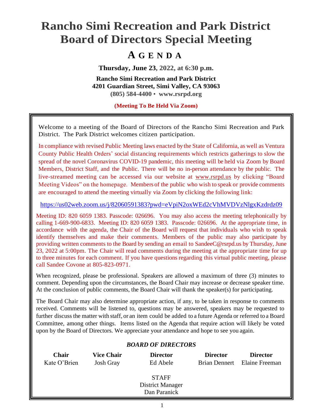# **Rancho Simi Recreation and Park District Board of Directors Special Meeting**

# **A G E N D A**

**Thursday, June 23, 2022, at 6:30 p.m.**

**Rancho Simi Recreation and Park District 4201 Guardian Street, Simi Valley, CA 93063 (805) 584-4400** • **[www.rsrpd.org](http://www.rsrpd.org/)**

**(Meeting To Be Held Via Zoom)**

Welcome to a meeting of the Board of Directors of the Rancho Simi Recreation and Park District. The Park District welcomes citizen participation.

In compliance with revised Public Meeting laws enacted by the State of California, as well as Ventura County Public Health Orders' social distancing requirements which restricts gatherings to slow the spread of the novel Coronavirus COVID-19 pandemic, this meeting will be held via Zoom by Board Members, District Staff, and the Public. There will be no in-person attendance by the public. The live-streamed meeting can be accessed via our website at [www.rsrpd.us](http://www.rsrpd.us/) by clicking "Board Meeting Videos" on the homepage. Members of the public who wish to speak or provide comments are encouraged to attend the meeting virtually via Zoom by clicking the following link:

#### <https://us02web.zoom.us/j/82060591383?pwd=eVpiN2oxWEd2cVhMVDVzNlgxKzdrdz09>

Meeting ID: 820 6059 1383. Passcode: 026696. You may also access the meeting telephonically by calling 1-669-900-6833. Meeting ID: 820 6059 1383. Passcode: 026696. At the appropriate time, in accordance with the agenda, the Chair of the Board will request that individuals who wish to speak identify themselves and make their comments. Members of the public may also participate by providing written comments to the Board by sending an email to SandeeC@rsrpd.us by Thursday, June 23, 2022 at 5:00pm. The Chair will read comments during the meeting at the appropriate time for up to three minutes for each comment. If you have questions regarding this virtual public meeting, please call Sandee Covone at 805-823-0971.

When recognized, please be professional. Speakers are allowed a maximum of three (3) minutes to comment. Depending upon the circumstances, the Board Chair may increase or decrease speaker time. At the conclusion of public comments, the Board Chair will thank the speaker(s) for participating.

The Board Chair may also determine appropriate action, if any, to be taken in response to comments received. Comments will be listened to, questions may be answered, speakers may be requested to further discuss the matter with staff, or an item could be added to a future Agenda or referred to a Board Committee, among other things. Items listed on the Agenda that require action will likely be voted upon by the Board of Directors. We appreciate your attendance and hope to see you again.

# *BOARD OF DIRECTORS*

| <b>Chair</b> | <b>Vice Chair</b> | <b>Director</b>         | <b>Director</b> | <b>Director</b>              |
|--------------|-------------------|-------------------------|-----------------|------------------------------|
| Kate O'Brien | <b>Josh Gray</b>  | Ed Abele                |                 | Brian Dennert Elaine Freeman |
|              |                   |                         |                 |                              |
|              |                   | <b>STAFF</b>            |                 |                              |
|              |                   | <b>District Manager</b> |                 |                              |
|              |                   | Dan Paranick            |                 |                              |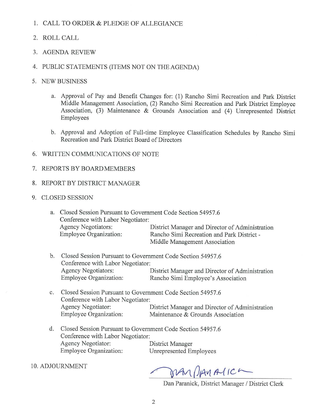## 1. CALL TO ORDER & PLEDGE OF ALLEGIANCE

- 2. ROLL CALL
- 3. AGENDA REVIEW
- 4. PUBLIC STATEMENTS (ITEMS NOT ON THE AGENDA)
- 5. NEW BUSINESS
	- a. Approval of Pay and Benefit Changes for: (1) Rancho Simi Recreation and Park District Middle Management Association, (2) Rancho Simi Recreation and Park District Employee Association, (3) Maintenance & Grounds Association and (4) Unrepresented District Employees
	- b. Approval and Adoption of Full-time Employee Classification Schedules by Rancho Simi Recreation and Park District Board of Directors
- 6. WRITTEN COMMUNICATIONS OF NOTE
- 7. REPORTS BY BOARD MEMBERS
- 8. REPORT BY DISTRICT MANAGER
- 9. CLOSED SESSION

| a. Closed Session Pursuant to Government Code Section 54957.6 |                                                 |  |  |  |  |  |
|---------------------------------------------------------------|-------------------------------------------------|--|--|--|--|--|
| Conference with Labor Negotiator:                             |                                                 |  |  |  |  |  |
| Agency Negotiators:                                           | District Manager and Director of Administration |  |  |  |  |  |
| Employee Organization:                                        | Rancho Simi Recreation and Park District -      |  |  |  |  |  |
|                                                               | Middle Management Association                   |  |  |  |  |  |

- b. Closed Session Pursuant to Government Code Section 54957.6 Conference with Labor Negotiator: Agency Negotiators: District Manager and Director of Administration<br>Employee Organization: Rancho Simi Employee's Association Rancho Simi Employee's Association
- c. Closed Session Pursuant to Government Code Section 54957.6 Conference with Labor Negotiator: Agency Negotiator: District Manager and Director of Administration<br>Employee Organization: Maintenance & Grounds Association Maintenance & Grounds Association
- d. Closed Session Pursuant to Government Code Section 54957.6 Conference with Labor Negotiator: Agency Negotiator: District Manager Employee Organization: Unrepresented Employees
- 10. ADJOURNMENT

MAN DAMAICA

Dan Paranick, District Manager / District Clerk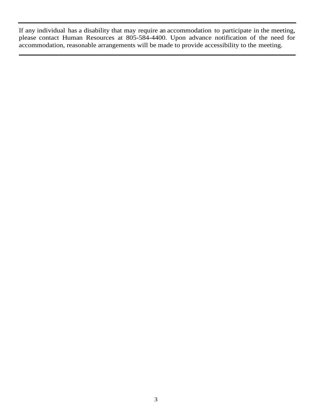If any individual has a disability that may require an accommodation to participate in the meeting, please contact Human Resources at 805-584-4400. Upon advance notification of the need for accommodation, reasonable arrangements will be made to provide accessibility to the meeting.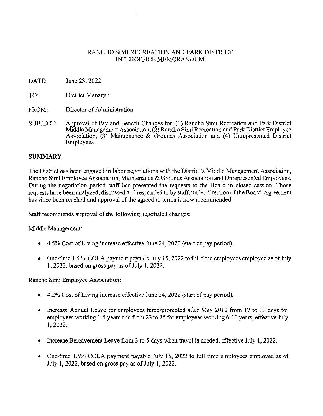# RANCHO SIMI RECREATION AND PARK DISTRICT INTEROFFICE MEMORANDUM

- DATE: June 23, 2022
- TO: District Manager
- FROM: Director of Administration
- SUBJECT: Approval of Pay and Benefit Changes for: (1) Rancho Simi Recreation and Park District Middle Management Association, (2) Rancho Simi Recreation and Park District Employee Association, (3) Maintenance & Grounds Association and (4) Unrepresented District Employees

#### **SUMMARY**

The District has been engaged in labor negotiations with the District's Middle Management Association, Rancho Simi Employee Association, Maintenance & Grounds Association and Unrepresented Employees. During the negotiation period staff has presented the requests to the Board in closed session. Those requests have been analyzed, discussed and responded to by staff, under direction of the Board. Agreement has since been reached and approval of the agreed to terms is now recommended.

Staff recommends approval of the following negotiated changes:

Middle Management:

- 4.5% Cost of Living increase effective June 24, 2022 (start of pay period).
- One-time 1.5 % COLA payment payable July 15, 2022 to full time employees employed as of July 1, 2022, based on gross pay as of July 1, 2022.

Rancho Simi Employee Association:

- 4.2% Cost of Living increase effective June 24, 2022 (start of pay period).
- Increase Annual Leave for employees hired/promoted after May 2010 from 17 to 19 days for employees working 1-5 years and from 23 to 25 for employees working 6-10 years, effective July 1, 2022.
- Increase Bereavement Leave from 3 to 5 days when travel is needed, effective July 1, 2022.
- One-time 1.5% COLA payment payable July 15, 2022 to full time employees employed as of July 1, 2022, based on gross pay as of July 1, 2022.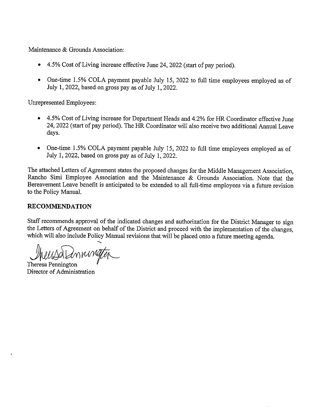Maintenance & Grounds Association:

- 4.5% Cost of Living increase effective June 24, 2022 (start of pay period).
- One-time 1.5% COLA payment payable July 15, 2022 to full time employees employed as of July 1, 2022, based on gross pay as of July 1, 2022.

Unrepresented Employees:

- 4.5% Cost of Living increase for Department Heads and 4.2% for HR Coordinator effective June 24, 2022 (start of pay period). The HR Coordinator will also receive two additional Annual Leave days.
- One-time 1.5% COLA payment payable July 15, 2022 to full time employees employed as of July 1, 2022, based on gross pay as of July 1, 2022.

The attached Letters of Agreement states the proposed changes for the Middle Management Association, Rancho Simi Employee Association and the Maintenance & Grounds Association. Note that the Bereavement Leave benefit is anticipated to be extended to all full-time employees via a future revision to the Policy Manual.

# **RECOMMENDATION**

Staff recommends approval of the indicated changes and authorization for the District Manager to sign the Letters of Agreement on behalf of the District and proceed with the implementation of the changes, which will also include Policy Manual revisions that will be placed onto a future meeting agenda.

--... WULO LMMWG

Director of Administration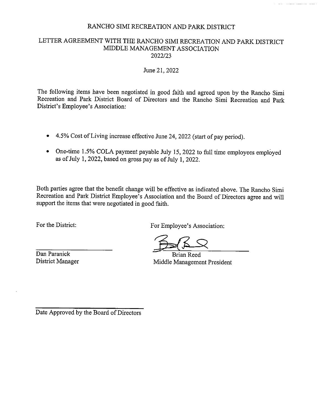<u>in massa paalan oli toola</u>

#### LETTER AGREEMENT WITH THE RANCHO SIMI RECREATION AND PARK DISTRICT MIDDLE MANAGEMENT ASSOCIATION 2022/23

#### June 21, 2022

The following items have been negotiated in good faith and agreed upon by the Rancho Simi Recreation and Park District Board of Directors and the Rancho Simi Recreation and Park District's Employee's Association:

- 4.5% Cost of Living increase effective June 24, 2022 (start of pay period).
- One-time 1.5% COLA payment payable July 15, 2022 to full time employees employed as of July 1, 2022, based on gross pay as of July 1, 2022.

Both parties agree that the benefit change will be effective as indicated above. The Rancho Simi Recreation and Park District Employee's Association and the Board of Directors agree and will support the items that were negotiated in good faith.

For the District:

For Employee's Association:

Dan Paranick District Manager

Brian Reed Middle Management President

Date Approved by the Board of Directors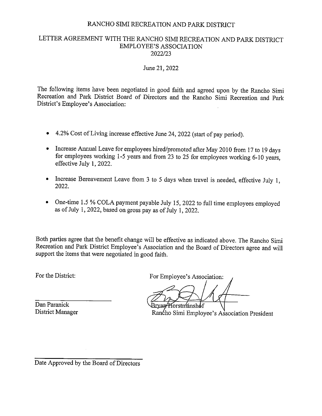## LETTER AGREEMENT WITH THE RANCHO SIMI RECREATION AND PARK DISTRICT EMPLOYEE'S ASSOCIATION 2022/23

#### June 21, 2022

The following items have been negotiated in good faith and agreed upon by the Rancho Simi Recreation and Park District Board of Directors and the Rancho Simi Recreation and Park District's Employee's Association:

- 4.2% Cost of Living increase effective June 24, 2022 (start of pay period).
- Increase Annual Leave for employees hired/promoted after May 2010 from 17 to 19 days for employees working 1-5 years and from 23 to 25 for employees working 6-10 years, effective July I, 2022.
- Increase Bereavement Leave from 3 to 5 days when travel is needed, effective July 1, 2022.
- One-time 1.5 % COLA payment payable July 15, 2022 to full time employees employed as of July 1, 2022, based on gross pay as of July 1, 2022.

Both parties agree that the benefit change will be effective as indicated above. The Rancho Simi Recreation and Park District Employee's Association and the Board of Directors agree and will support the items that were negotiated in good faith.

For the District:

For Employee's Association:

3rvan Horstníanshof

Rancho Simi Employee's Association President

Dan Paranick District Manager

Date Approved by the Board of Directors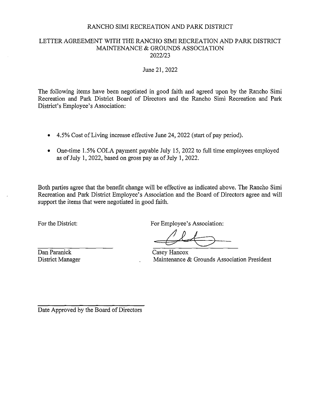#### LETTER AGREEMENT WITH THE RANCHO SIMI RECREATION AND PARK DISTRICT MAINTENANCE & GROUNDS ASSOCIATION 2022/23

#### June 21, 2022

The following items have been negotiated in good faith and agreed upon by the Rancho Simi Recreation and Park District Board of Directors and the Rancho Simi Recreation and Park District's Employee's Association:

- 4.5% Cost of Living increase effective June 24, 2022 (start of pay period).
- One-time 1.5% COLA payment payable July 15, 2022 to full time employees employed as of July 1, 2022, based on gross pay as of July 1, 2022.

Both parties agree that the benefit change will be effective as indicated above. The Rancho Simi Recreation and Park District Employee's Association and the Board of Directors agree and will support the items that were negotiated in good faith.

For the District:

For Employee's Association:

Dan Paranick District Manager

Casey Hancox Maintenance & Grounds Association President

Date Approved by the Board of Directors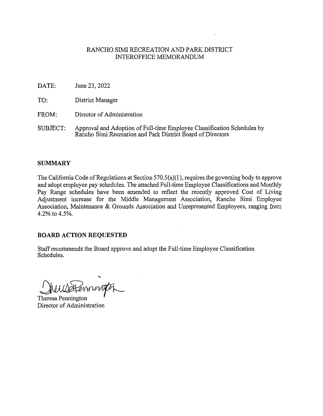#### RANCHO SIMI RECREATION AND PARK DISTRICT INTEROFFICE MEMORANDUM

- DATE: June 23, 2022
- TO: District Manager
- FROM: Director of Administration
- SUBJECT: Approval and Adoption of Full-time Employee Classification Schedules by Rancho Simi Recreation and Park District Board of Directors

#### **SUMMARY**

The California Code of Regulations at Section 570.5(a)(1), requires the governing body to approve and adopt employee pay schedules. The attached Full-time Employee Classifications and Monthly Pay Range schedules have been amended to reflect the recently approved Cost of Living Adjustment increase for the Middle Management Association, Rancho Simi Employee Association, Maintenance & Grounds Association and Unrepresented Employees, ranging from 4.2% to 4.5%.

# **BOARD ACTION REQUESTED**

Staff recommends the Board approve and adopt the Full-time Employee Classification Schedules.

WWDHENrungton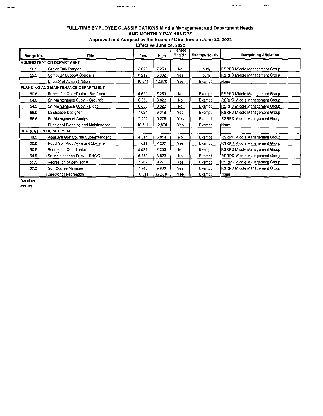#### FULL-TIME EMPLOYEE CLASSIFICATIONS Middle Management and Department Heads AND MONTHLY PAY RANGES Approved and Adopted by the Board of Directors on June 23, 2022

 $\sim$ 

 $\begin{minipage}{0.5\textwidth} \begin{tabular}{|l|l|} \hline & \multicolumn{1}{|l|l|} \hline & \multicolumn{1}{|l|} \multicolumn{1}{|l|} \hline \multicolumn{1}{|l|} \multicolumn{1}{|l|} \multicolumn{1}{|l|} \multicolumn{1}{|l|} \multicolumn{1}{|l|} \multicolumn{1}{|l|} \multicolumn{1}{|l|} \multicolumn{1}{|l|} \multicolumn{1}{|l|} \multicolumn{1}{|l|} \multicolumn{1}{|l|} \multicolumn{1}{|l|} \multicolumn{1}{|l|} \multicolumn{$ 

| Effective June 24, 2022 |
|-------------------------|
|-------------------------|

| Range No.                        | Title                                | Low    | High   | <b>Degree</b><br>Reg'd? | <b>Exempt/Hourly</b> | <b>Bargaining Affiliation</b> |
|----------------------------------|--------------------------------------|--------|--------|-------------------------|----------------------|-------------------------------|
| <b>ADMINISTRATION DEPARTMENT</b> |                                      |        |        |                         |                      |                               |
| 50.5                             | Senior Park Ranger                   | 5,629  | 7,250  | No                      | Hourly               | RSRPD Middle Management Group |
| 52.5                             | Computer Support Specialist          | 6,212  | 8,002  | Yes                     | Hourly               | RSRPD Middle Management Group |
|                                  | Director of Administration           | 10,511 | 12,870 | Yes                     | Exempt               | lNone                         |
|                                  | PLANNING AND MAINTENANCE DEPARTMENT  |        |        |                         |                      |                               |
| 50.5                             | Recreation Coordinator - Strathearn  | 5,629  | 7,250  | No.                     | Exempt               | RSRPD Middle Management Group |
| 54.5                             | Sr. Maintenance Supv. - Grounds      | 6,850  | 8,823  | No                      | Exempt               | RSRPD Middle Management Group |
| 54.5                             | Sr. Maintenance Supv. - Bldgs.       | 6,850  | 8,823  | No                      | Exempt               | RSRPD Middle Management Group |
| 55.0                             | Landscape Designer                   | 7,024  | 9,048  | Yes                     | Exemot               | RSRPD Middle Management Group |
| 55.5                             | Sr. Management Analyst               | 7,202  | 9,276  | Yes                     | Exempt               | RSRPD Middle Management Group |
|                                  | Director of Planning and Maintenance | 10,511 | 12,870 | Yes                     | Exempt               | liNone                        |
| <b>RECREATION DEPARTMENT</b>     |                                      |        |        |                         |                      |                               |
| 46.0                             | Assistant Golf Course Superintendent | 4,514  | 5.814  | No                      | Exempt               | RSRPD Middle Management Group |
| 50.5                             | Head Golf Pro / Assistant Manager    | 5,629  | 7,250  | Yes                     | Exempt               | RSRPD Middle Management Group |
| 50.5                             | Recreation Coordinator               | 5,629  | 7.250  | No                      | Exempt               | RSRPD Middle Management Group |
| 54.5                             | Sr. Maintenance Supv. - SHGC         | 6,850  | 8,823  | No                      | Exempt               | RSRPD Middle Management Group |
| 55.5                             | Recreation Supervisor II             | 7,202  | 9,276  | Yes                     | Exempt               | RSRPD Middle Management Group |
| 57.0                             | Golf Course Manager                  | 7,748  | 9,980  | Yes                     | Exempt               | RSRPD Middle Management Group |
|                                  | Director of Recreation               | 10,511 | 12,870 | Yes                     | Exempt               | llNone ¦                      |

Printed on: 06121122

. . . . . . . .

 $\cdots \cdots \cdots$ 

.<br>. . . . .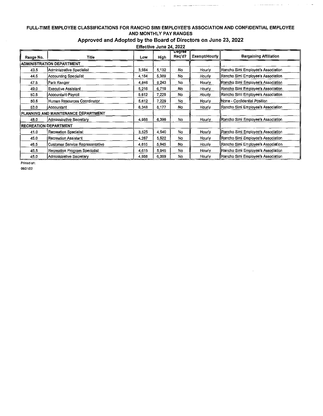#### FULL-TIME EMPLOYEE CLASSIFICATIONS FOR RANCHO SIMI EMPLOYEE'S ASSOCIATION AND CONFIDENTIAL EMPLOYEE AND MONTHLY PAY RANGES

 $\mathcal{L}_{\text{max}}$  , and the contract constraint constraints are associated as a set of  $\mathcal{L}_{\text{max}}$ 

 $\hat{z}_1$  is a minimization of  $\hat{z}_1$ 

 $\bar{A}$ 

 $\hat{A}$  $\mathcal{A}^{\pm}$   $\bar{\omega}$ 

## Approved and Adopted by the Board of Directors on June 23, 2022

Effective June 24, 2022

| Range No.                           | Title                                  | Low   | High  | <b>Degreë</b><br>Reg'd? | Exempt/Hourly | <b>Bargaining Affiliation</b>        |
|-------------------------------------|----------------------------------------|-------|-------|-------------------------|---------------|--------------------------------------|
| <b>ADMINISTRATION DEPARTMENT</b>    |                                        |       |       |                         |               |                                      |
| 43.5                                | Administrative Specialist              | 3,984 | 5,132 | No                      | Hourly        | Rancho Simi Employee's Association   |
| 44.5                                | Accounting Specialist                  | 4,184 | 5,389 | No                      | Hourly        | Rancho Simi Employee's Association   |
| 47.5                                | Park Ranger                            | 4,846 | 6,243 | No                      | Hourly        | Rancho Simi Employee's Association   |
| 49,0                                | <b>Executive Assistant</b>             | 5.216 | 6,719 | No                      | Hourly        | Rancho Simi Employee's Association   |
| 50.5                                | Accountant-Payroll                     | 5,612 | 7,229 | No.                     | Hourly        | Rancho Simi Employee's Association   |
| 50.5                                | Human Resources Coordinator            | 5,612 | 7,229 | No                      | Hourly        | None - Confidential Position         |
| 53.0                                | Accountant                             | 6,348 | 8,177 | No                      | Hourly        | ∥Rancho Simi Employee's Association  |
| PLANNING AND MAINTENANCE DEPARTMENT |                                        |       |       |                         |               |                                      |
| 48.0                                | Administrative Secretary               | 4,968 | 6,399 | No                      | Hourly        | ∥Rancho Simi Employee's Association  |
| <b>RECREATION DEPARTMENT</b>        |                                        |       |       |                         |               |                                      |
| 41.0                                | Recreation Specialist                  | 3,525 | 4,540 | No                      | Hourly        | Rancho Simi Employee's Association   |
| 45.0                                | <b>Recreation Assistant</b>            | 4.287 | 5,522 | No                      | Hourly        | ∥Rancho Simi Employee's Association  |
| 46.5                                | <b>Customer Service Representative</b> | 4,615 | 5,945 | <b>No</b>               | Hourly        | llRancho Simi Employee's Association |
| 46.5                                | Recreation Program Specialist          | 4,615 | 5,945 | No                      | Hourly        | Rancho Simi Employee's Association   |
| 48.0                                | <b>Administrative Secretary</b>        | 4,968 | 6,399 | No                      | Hourly        | Rancho Simi Employee's Association   |

Printed on: 06121/22

 $\sim$